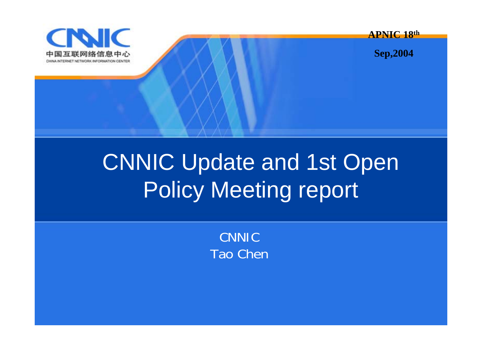

**Sep,2004**

**APNIC 18th**

# CNNIC Update and 1st Open Policy Meeting report

CNNIC Tao Chen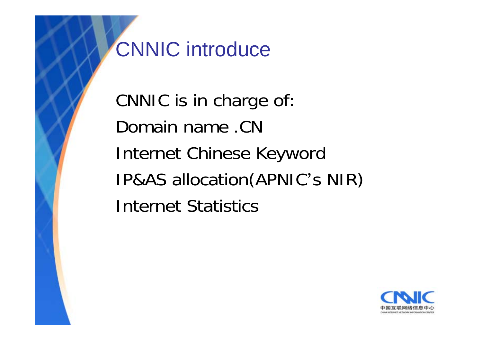## CNNIC introduce

CNNIC is in charge of: Domain name .CNInternet Chinese Keyword IP&AS allocation(APNIC's NIR) Internet Statistics

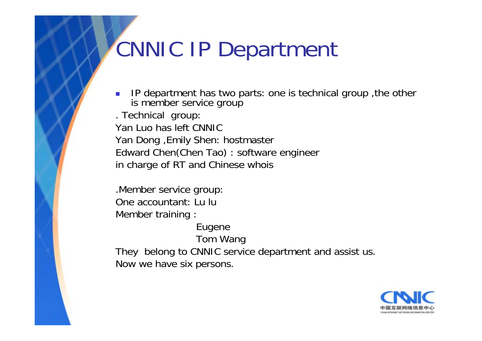# CNNIC IP Department

! IP department has two parts: one is technical group ,the other is member service group . Technical group: Yan Luo has left CNNIC

Yan Dong ,Emily Shen: hostmaster Edward Chen(Chen Tao) : software engineer

in c harge of RT and Chinese whois

.Member service group: One accountant: Lu luMember training :

Eugene

Tom Wang

They belong to CNNIC service department and assist us. Now we have six persons.

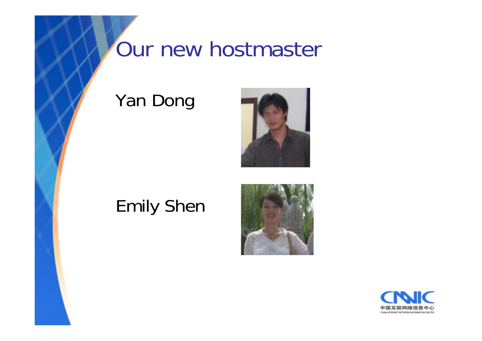## Our new hostmaster

### Yan Dong



#### Emily Shen



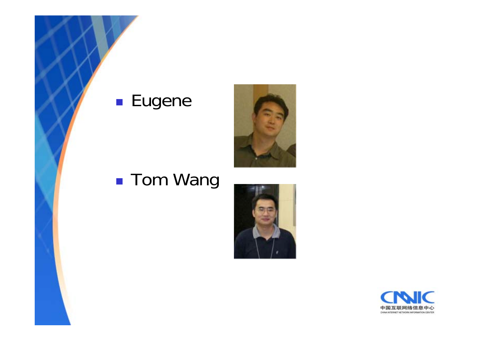#### **Eugene**



### **Tom Wang**



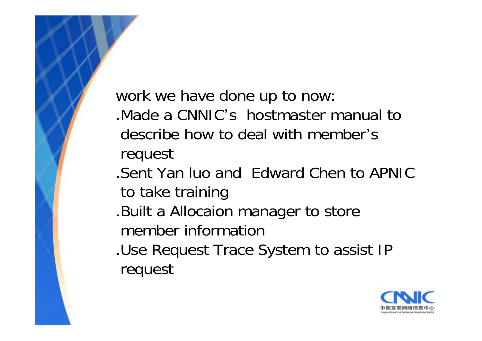work we have done up to now:

.Made a CNNIC's hostmaster manual todescribe how to deal with member'srequest

.Sent Yan luo and Edward Chen to APNIC to take training

- .Built a Allocaion manager to store member information
- .Use Request Trace System to assist IP request

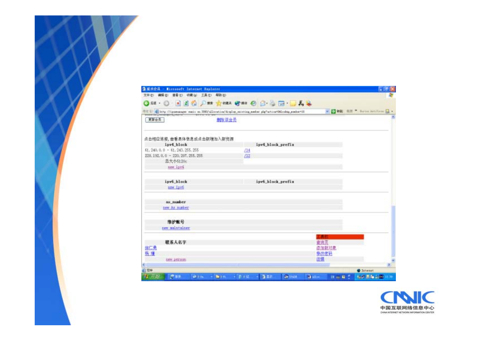| ○58 - ○ 日日公 ○ # ☆ exx け # ● ○ ☆ □ □ ▲ ↓                                                                                          |       |                   |       |                              |  |
|----------------------------------------------------------------------------------------------------------------------------------|-------|-------------------|-------|------------------------------|--|
| that (b) <b>(c)</b> being //ipamas.gov main on 2000/allocation/display_asissing_ambar phy <sup>p</sup> active diffeolog_ambar th |       |                   |       | ● 2 新期 経営 * Serie Hillings □ |  |
| 天新会员                                                                                                                             | 意除液会员 |                   |       |                              |  |
| 点击相应连接,查看具体信息或点击新增加入新资源                                                                                                          |       |                   |       |                              |  |
| ipvi block                                                                                                                       |       | ipv4 block prefix |       |                              |  |
| $61, 240, 0, 0 = 61, 243, 255, 255$                                                                                              | /14   |                   |       |                              |  |
| 220, 192, 0, 0 - 220, 207, 255, 255                                                                                              | Д2    |                   |       |                              |  |
| 总大小5120c                                                                                                                         |       |                   |       |                              |  |
| nm ipv6                                                                                                                          |       |                   |       |                              |  |
| ipv6 black                                                                                                                       |       | ipv6 block prefix |       |                              |  |
| new Toyo                                                                                                                         |       |                   |       |                              |  |
| as number                                                                                                                        |       |                   |       |                              |  |
| new As maker                                                                                                                     |       |                   |       |                              |  |
| 维护账号                                                                                                                             |       |                   |       |                              |  |
| new mintainer                                                                                                                    |       |                   |       |                              |  |
| 联系人名字                                                                                                                            |       |                   | 查询页   |                              |  |
| 徐仁勇                                                                                                                              |       |                   | 清加新对象 |                              |  |
| 杨瑾                                                                                                                               |       |                   | 旅改密码  |                              |  |
| cary persons                                                                                                                     |       |                   | 注值    |                              |  |
|                                                                                                                                  |       |                   |       |                              |  |

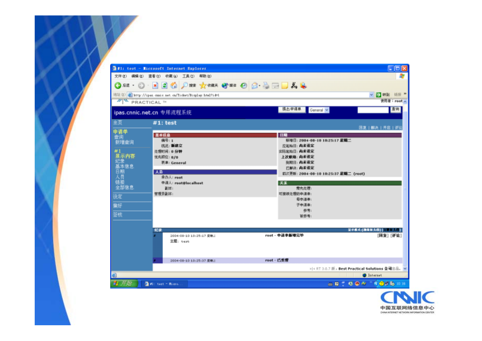| $ \Box$ $\times$<br>21: test - Microsoft Internet Explorer             |                               |                                                                                        |                      |  |  |  |  |
|------------------------------------------------------------------------|-------------------------------|----------------------------------------------------------------------------------------|----------------------|--|--|--|--|
| 文件(2) 编辑(2) 查看(2) 收案(3) 工具(2) 帮助(2)                                    |                               |                                                                                        |                      |  |  |  |  |
| ● R + ① · R 2 4 △ D R * 女 MR * 中 # + ④ B · B □ ■ 為 ↓                   |                               |                                                                                        |                      |  |  |  |  |
| v → 林勤 随振 ™<br>地址(2) attp://ipas.cnaic.net.cn/Ticket/Bisplay.html?id=1 |                               |                                                                                        |                      |  |  |  |  |
| <b>NIK PRACTICAL TH</b>                                                |                               |                                                                                        | 使用者:root A           |  |  |  |  |
|                                                                        | ipas.cnnic.net.cn 专用流程系统      | 提出申请单 General v                                                                        | 五田                   |  |  |  |  |
| 圭页                                                                     | #1: test                      |                                                                                        | 回复  解決  开启  评议       |  |  |  |  |
| 申请单<br>查询                                                              | 亜本信息                          | 日期                                                                                     |                      |  |  |  |  |
| 新增查询                                                                   | 佛号: 1                         | 新塔日: 2004-08-10 10:25:17 星曜二                                                           |                      |  |  |  |  |
| #1                                                                     | <b>EUR: 新建立</b><br>处理时间: 0 分钟 | 应起输目: 尚未设定<br>实际起始日:尚未设定                                                               |                      |  |  |  |  |
| 显示内容                                                                   | 优先顺位: 0/0                     | 上次联络: 南米设定                                                                             |                      |  |  |  |  |
|                                                                        | 表章: General                   | 到期日:尚未设定                                                                               |                      |  |  |  |  |
|                                                                        | 入局                            | 已解决: 尚未设定                                                                              |                      |  |  |  |  |
|                                                                        | 承办人: rest                     | 前次更新: 2004-08-10 10:25:37 星期二 (root)                                                   |                      |  |  |  |  |
|                                                                        | 中译人: rest@localhost           | 未来                                                                                     |                      |  |  |  |  |
|                                                                        | 副本:                           | 需先处理:                                                                                  |                      |  |  |  |  |
| 设定                                                                     | 管理员副本:                        | 可接续处理的中速量:<br>日中 連単!                                                                   |                      |  |  |  |  |
| 偏好                                                                     |                               | 子中课章:                                                                                  |                      |  |  |  |  |
|                                                                        |                               | 图书:                                                                                    |                      |  |  |  |  |
| 笠核                                                                     |                               | 被参考:                                                                                   |                      |  |  |  |  |
|                                                                        |                               |                                                                                        |                      |  |  |  |  |
|                                                                        | 紀录                            |                                                                                        | 显示模式:[轴同称头目] [三氧正元]] |  |  |  |  |
|                                                                        | 2004-00-10 10:25:17 星車二       | root-申请单新增完毕                                                                           | [回复] [评论]            |  |  |  |  |
|                                                                        | 主题: test                      |                                                                                        |                      |  |  |  |  |
|                                                                        |                               |                                                                                        |                      |  |  |  |  |
|                                                                        | 2004-08-10 10:25:37 夏糖二       | root - 已委罪                                                                             |                      |  |  |  |  |
|                                                                        |                               | >  <rt 3.0.7="" best="" practical="" solutions="" th="" 公司出品。<="" 版,=""><th></th></rt> |                      |  |  |  |  |
| a<br><b>D</b> Internet                                                 |                               |                                                                                        |                      |  |  |  |  |
| 背 光后                                                                   | di el: test = Bicro.          | $= 0.1004$                                                                             | € ● ■ 10:16          |  |  |  |  |

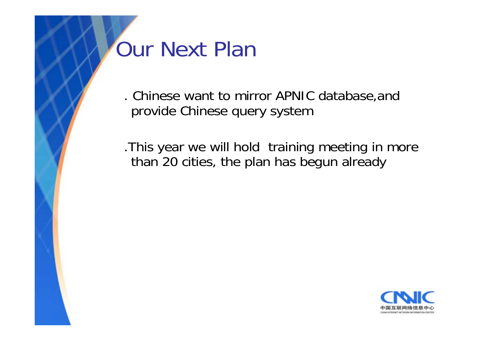## Our Next Plan

. Chinese want to mirror APNIC database,and provide Chinese query system

.This year we will hold training meeting in more than 20 cities, the plan has begun already

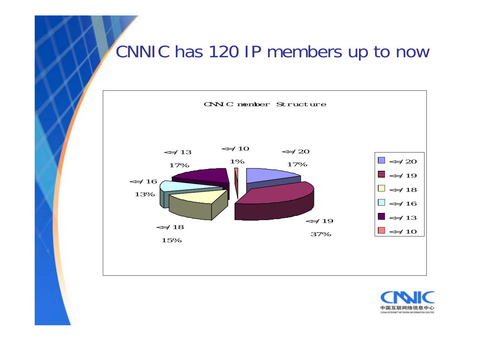#### CNNIC has 120 IP members up to now



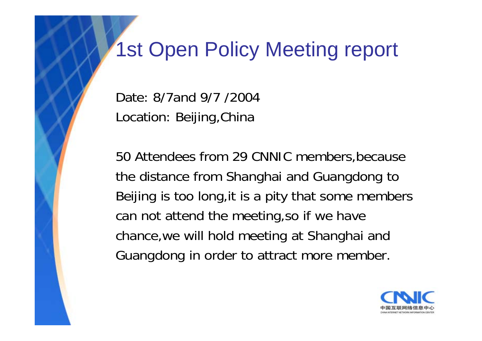## 1st Open Policy Meeting report

Date: 8/7and 9/7 /2004 Location: Beijing,China

50 Attendees from 29 CNNIC members,because the distance from Shanghai and Guangdong to Beijing is too long,it is a pity that some members can not attend the meeting,so if we have chance,we will hold meeting at Shanghai and Guangdong in order to attract more member.

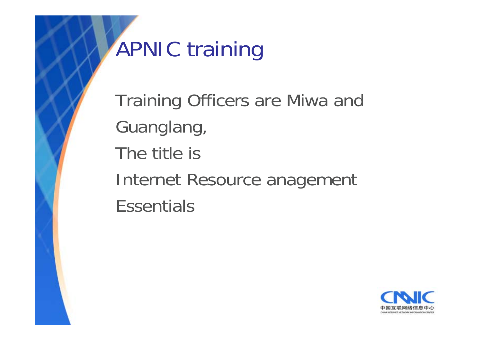# **APNIC training**

Training Officers are Miwa and Guanglang, The title is Internet Resource anagement **Essentials** 

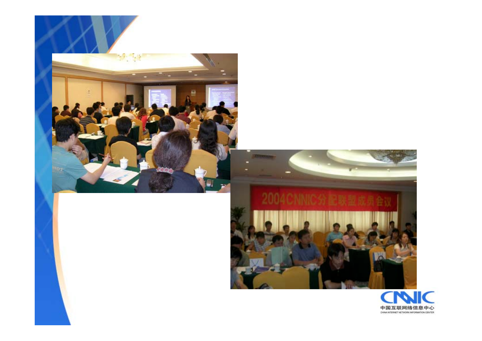



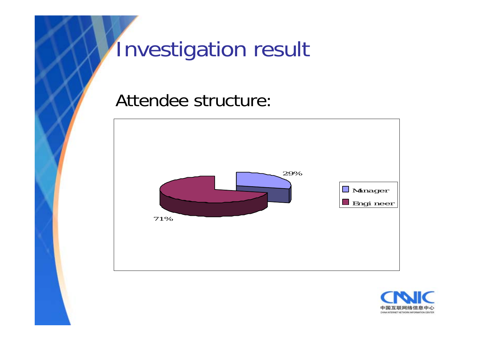## Investigation result

#### Attendee structure:



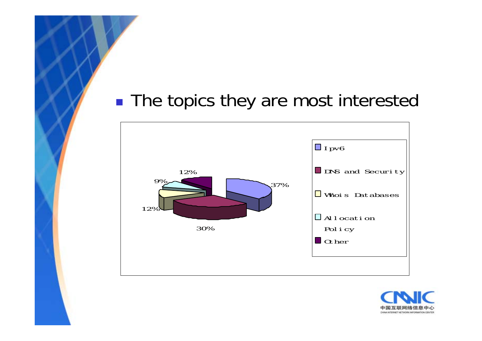#### **.** ■ The topics they are most interested



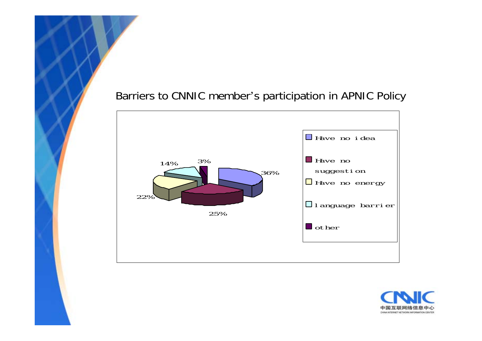#### Barriers to CNNIC member's participation in APNIC Policy



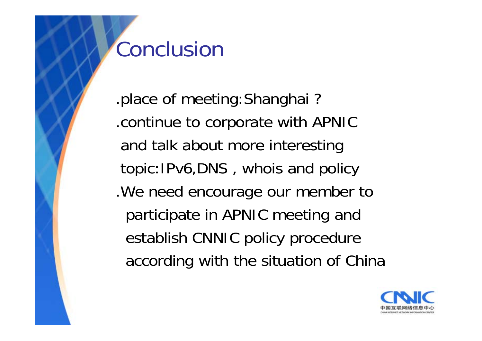## **Conclusion**

.place of meeting:Shanghai ? .continue to corporate with APNIC and talk about more interesting topic:IPv6,DNS , whois and policy .We need encourage our member to participate in APNIC meeting and establish CNNIC policy procedure according with the situation of China